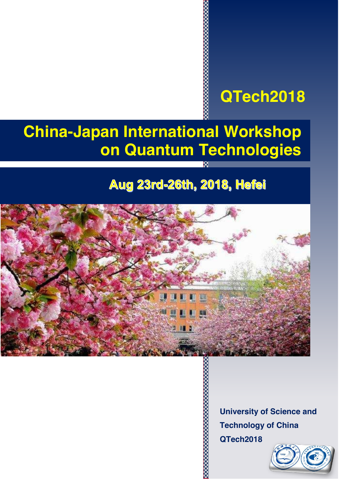## **QTech2018**

# **China-Japan International Workshop on Quantum Technologies**

## Aug 23rd-26th, 2018, Hefei



**University of Science and Technology of China QTech2018**

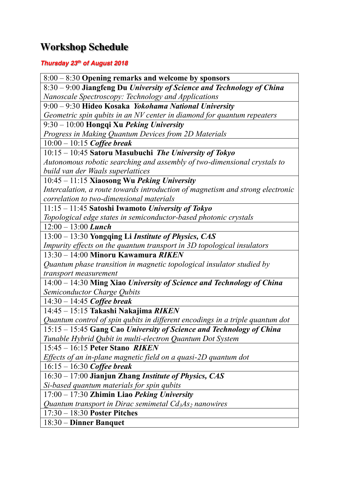## **Workshop Schedule**

### *Thursday 23th of August 2018*

8:00 – 8:30 **Opening remarks and welcome by sponsors** 8:30 – 9:00 **Jiangfeng Du** *University of Science and Technology of China Nanoscale Spectroscopy: Technology and Applications* 9:00 – 9:30 **Hideo Kosaka** *Yokohama National University Geometric spin qubits in an NV center in diamond for quantum repeaters* 9:30 – 10:00 **Hongqi Xu** *Peking University Progress in Making Quantum Devices from 2D Materials* 10:00 – 10:15 *Coffee break* 10:15 – 10:45 **Satoru Masubuchi** *The University of Tokyo Autonomous robotic searching and assembly of two-dimensional crystals to build van der Waals superlattices* 10:45 – 11:15 **Xiaosong Wu** *Peking University Intercalation, a route towards introduction of magnetism and strong electronic correlation to two-dimensional materials* 11:15 – 11:45 **Satoshi Iwamoto** *University of Tokyo Topological edge states in semiconductor-based photonic crystals* 12:00 – 13:00 *Lunch* 13:00 – 13:30 **Yongqing Li** *Institute of Physics, CAS Impurity effects on the quantum transport in 3D topological insulators* 13:30 – 14:00 **Minoru Kawamura** *RIKEN Quantum phase transition in magnetic topological insulator studied by transport measurement* 14:00 – 14:30 **Ming Xiao** *University of Science and Technology of China Semiconductor Charge Qubits* 14:30 – 14:45 *Coffee break* 14:45 – 15:15 **Takashi Nakajima** *RIKEN Quantum control of spin qubits in different encodings in a triple quantum dot* 15:15 – 15:45 **Gang Cao** *University of Science and Technology of China Tunable Hybrid Qubit in multi-electron Quantum Dot System* 15:45 – 16:15 **Peter Stano** *RIKEN Effects of an in-plane magnetic field on a quasi-2D quantum dot* 16:15 – 16:30 *Coffee break* 16:30 – 17:00 **Jianjun Zhang** *Institute of Physics, CAS Si-based quantum materials for spin qubits* 17:00 – 17:30 **Zhimin Liao** *Peking University <u>Ouantum transport in Dirac semimetal Cd<sub>3</sub>As<sub>2</sub> <i>nanowires*</u> 17:30 – 18:30 **Poster Pitches**

18:30 – **Dinner Banquet**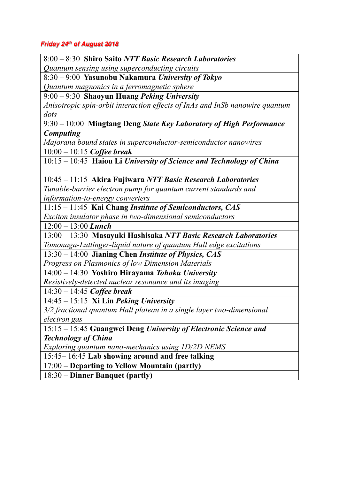### *Friday 24th of August 2018*

8:00 – 8:30 **Shiro Saito** *NTT Basic Research Laboratories Quantum sensing using superconducting circuits*

8:30 – 9:00 **Yasunobu Nakamura** *University of Tokyo Quantum magnonics in a ferromagnetic sphere*

9:00 – 9:30 **Shaoyun Huang** *Peking University*

*Anisotropic spin-orbit interaction effects of InAs and InSb nanowire quantum dots*

9:30 – 10:00 **Mingtang Deng** *State Key Laboratory of High Performance Computing*

*Majorana bound states in superconductor-semiconductor nanowires* 10:00 – 10:15 *Coffee break*

10:15 – 10:45 **Haiou Li** *University of Science and Technology of China*

10:45 – 11:15 **Akira Fujiwara** *NTT Basic Research Laboratories*

*Tunable-barrier electron pump for quantum current standards and information-to-energy converters*

11:15 – 11:45 **Kai Chang** *Institute of Semiconductors, CAS*

*Exciton insulator phase in two-dimensional semiconductors*

12:00 – 13:00 *Lunch*

13:00 – 13:30 **Masayuki Hashisaka** *NTT Basic Research Laboratories Tomonaga-Luttinger-liquid nature of quantum Hall edge excitations*

13:30 – 14:00 **Jianing Chen** *Institute of Physics, CAS Progress on Plasmonics of low Dimension Materials*

14:00 – 14:30 **Yoshiro Hirayama** *Tohoku University*

*Resistively-detected nuclear resonance and its imaging*

14:30 – 14:45 *Coffee break*

14:45 – 15:15 **Xi Lin** *Peking University*

*3/2 fractional quantum Hall plateau in a single layer two-dimensional electron gas*

15:15 – 15:45 **Guangwei Deng** *University of Electronic Science and Technology of China*

*Exploring quantum nano-mechanics using 1D/2D NEMS*

15:45– 16:45 **Lab showing around and free talking**

17:00 – **Departing to Yellow Mountain (partly)**

18:30 – **Dinner Banquet (partly)**